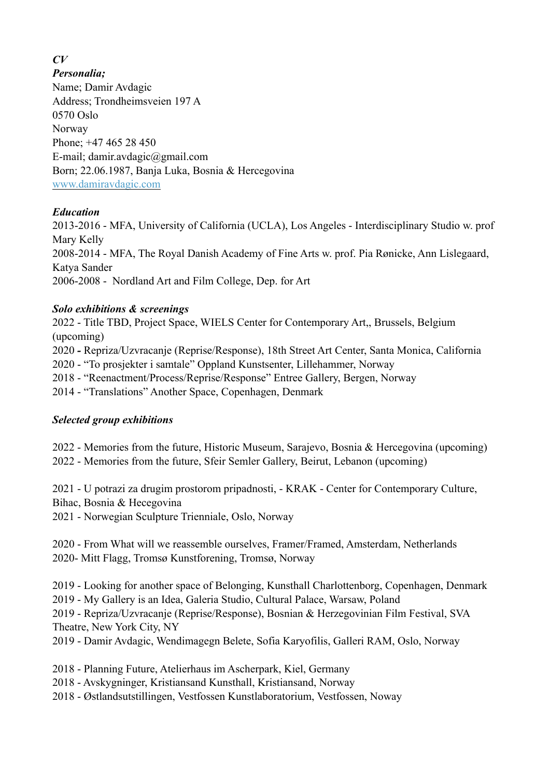#### *CV*

*Personalia;*

Name; Damir Avdagic Address; Trondheimsveien 197 A 0570 Oslo Norway Phone; +47 465 28 450 E-mail; damir.avdagic@gmail.com Born; 22.06.1987, Banja Luka, Bosnia & Hercegovina [www.damiravdagic.com](http://www.damiravdagic.com)

## *Education*

2013-2016 - MFA, University of California (UCLA), Los Angeles - Interdisciplinary Studio w. prof Mary Kelly 2008-2014 - MFA, The Royal Danish Academy of Fine Arts w. prof. Pia Rønicke, Ann Lislegaard, Katya Sander 2006-2008 - Nordland Art and Film College, Dep. for Art

#### *Solo exhibitions & screenings*

2022 - Title TBD, Project Space, WIELS Center for Contemporary Art,, Brussels, Belgium (upcoming) 2020 *-* Repriza/Uzvracanje (Reprise/Response), 18th Street Art Center, Santa Monica, California 2020 - "To prosjekter i samtale" Oppland Kunstsenter, Lillehammer, Norway 2018 - "Reenactment/Process/Reprise/Response" Entree Gallery, Bergen, Norway 2014 - "Translations" Another Space, Copenhagen, Denmark

## *Selected group exhibitions*

2022 - Memories from the future, Historic Museum, Sarajevo, Bosnia & Hercegovina (upcoming) 2022 - Memories from the future, Sfeir Semler Gallery, Beirut, Lebanon (upcoming)

2021 - U potrazi za drugim prostorom pripadnosti, - KRAK - Center for Contemporary Culture, Bihac, Bosnia & Hecegovina

2021 - Norwegian Sculpture Trienniale, Oslo, Norway

2020 - From What will we reassemble ourselves, Framer/Framed, Amsterdam, Netherlands 2020- Mitt Flagg, Tromsø Kunstforening, Tromsø, Norway

2019 - Looking for another space of Belonging, Kunsthall Charlottenborg, Copenhagen, Denmark 2019 - My Gallery is an Idea, Galeria Studio, Cultural Palace, Warsaw, Poland

2019 - Repriza/Uzvracanje (Reprise/Response), Bosnian & Herzegovinian Film Festival, SVA Theatre, New York City, NY

2019 - Damir Avdagic, Wendimagegn Belete, Sofia Karyofilis, Galleri RAM, Oslo, Norway

2018 - Planning Future, Atelierhaus im Ascherpark, Kiel, Germany

2018 - Avskygninger, Kristiansand Kunsthall, Kristiansand, Norway

2018 - Østlandsutstillingen, Vestfossen Kunstlaboratorium, Vestfossen, Noway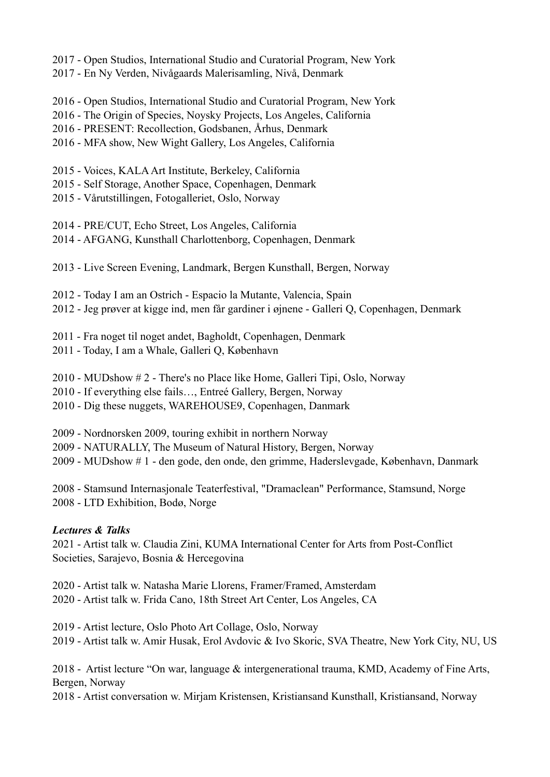2017 - Open Studios, International Studio and Curatorial Program, New York

2017 - En Ny Verden, Nivågaards Malerisamling, Nivå, Denmark

2016 - Open Studios, International Studio and Curatorial Program, New York

- 2016 The Origin of Species, Noysky Projects, Los Angeles, California
- 2016 PRESENT: Recollection, Godsbanen, Århus, Denmark
- 2016 MFA show, New Wight Gallery, Los Angeles, California
- 2015 Voices, KALA Art Institute, Berkeley, California
- 2015 Self Storage, Another Space, Copenhagen, Denmark
- 2015 Vårutstillingen, Fotogalleriet, Oslo, Norway

2014 - PRE/CUT, Echo Street, Los Angeles, California

- 2014 AFGANG, Kunsthall Charlottenborg, Copenhagen, Denmark
- 2013 Live Screen Evening, Landmark, Bergen Kunsthall, Bergen, Norway

2012 - Today I am an Ostrich - Espacio la Mutante, Valencia, Spain

2012 - Jeg prøver at kigge ind, men får gardiner i øjnene - Galleri Q, Copenhagen, Denmark

2011 - Fra noget til noget andet, Bagholdt, Copenhagen, Denmark

2011 - Today, I am a Whale, Galleri Q, København

2010 - MUDshow # 2 - There's no Place like Home, Galleri Tipi, Oslo, Norway

2010 - If everything else fails…, Entreé Gallery, Bergen, Norway

2010 - Dig these nuggets, WAREHOUSE9, Copenhagen, Danmark

2009 - Nordnorsken 2009, touring exhibit in northern Norway

2009 - NATURALLY, The Museum of Natural History, Bergen, Norway

2009 - MUDshow # 1 - den gode, den onde, den grimme, Haderslevgade, København, Danmark

2008 - Stamsund Internasjonale Teaterfestival, "Dramaclean" Performance, Stamsund, Norge 2008 - LTD Exhibition, Bodø, Norge

## *Lectures & Talks*

2021 - Artist talk w. Claudia Zini, KUMA International Center for Arts from Post-Conflict Societies, Sarajevo, Bosnia & Hercegovina

2020 - Artist talk w. Natasha Marie Llorens, Framer/Framed, Amsterdam 2020 - Artist talk w. Frida Cano, 18th Street Art Center, Los Angeles, CA

2019 - Artist lecture, Oslo Photo Art Collage, Oslo, Norway 2019 - Artist talk w. Amir Husak, Erol Avdovic & Ivo Skoric, SVA Theatre, New York City, NU, US

2018 - Artist lecture "On war, language & intergenerational trauma, KMD, Academy of Fine Arts, Bergen, Norway

2018 - Artist conversation w. Mirjam Kristensen, Kristiansand Kunsthall, Kristiansand, Norway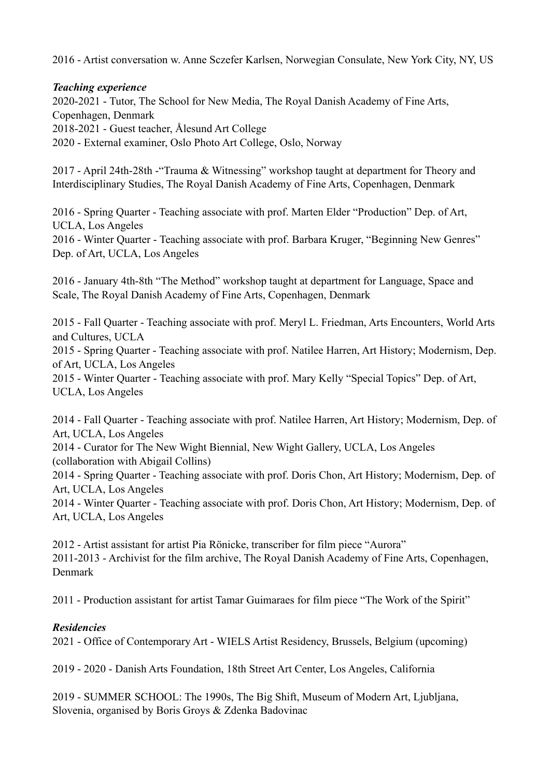2016 - Artist conversation w. Anne Sczefer Karlsen, Norwegian Consulate, New York City, NY, US

#### *Teaching experience*

2020-2021 - Tutor, The School for New Media, The Royal Danish Academy of Fine Arts, Copenhagen, Denmark 2018-2021 - Guest teacher, Ålesund Art College 2020 - External examiner, Oslo Photo Art College, Oslo, Norway

2017 - April 24th-28th -"Trauma & Witnessing" workshop taught at department for Theory and Interdisciplinary Studies, The Royal Danish Academy of Fine Arts, Copenhagen, Denmark

2016 - Spring Quarter - Teaching associate with prof. Marten Elder "Production" Dep. of Art, UCLA, Los Angeles 2016 - Winter Quarter - Teaching associate with prof. Barbara Kruger, "Beginning New Genres" Dep. of Art, UCLA, Los Angeles

2016 - January 4th-8th "The Method" workshop taught at department for Language, Space and Scale, The Royal Danish Academy of Fine Arts, Copenhagen, Denmark

2015 - Fall Quarter - Teaching associate with prof. Meryl L. Friedman, Arts Encounters, World Arts and Cultures, UCLA

2015 - Spring Quarter - Teaching associate with prof. Natilee Harren, Art History; Modernism, Dep. of Art, UCLA, Los Angeles

2015 - Winter Quarter - Teaching associate with prof. Mary Kelly "Special Topics" Dep. of Art, UCLA, Los Angeles

2014 - Fall Quarter - Teaching associate with prof. Natilee Harren, Art History; Modernism, Dep. of Art, UCLA, Los Angeles

2014 - Curator for The New Wight Biennial, New Wight Gallery, UCLA, Los Angeles (collaboration with Abigail Collins)

2014 - Spring Quarter - Teaching associate with prof. Doris Chon, Art History; Modernism, Dep. of Art, UCLA, Los Angeles

2014 - Winter Quarter - Teaching associate with prof. Doris Chon, Art History; Modernism, Dep. of Art, UCLA, Los Angeles

2012 - Artist assistant for artist Pia Rönicke, transcriber for film piece "Aurora" 2011-2013 - Archivist for the film archive, The Royal Danish Academy of Fine Arts, Copenhagen, Denmark

2011 - Production assistant for artist Tamar Guimaraes for film piece "The Work of the Spirit"

## *Residencies*

2021 - Office of Contemporary Art - WIELS Artist Residency, Brussels, Belgium (upcoming)

2019 - 2020 - Danish Arts Foundation, 18th Street Art Center, Los Angeles, California

2019 - SUMMER SCHOOL: The 1990s, The Big Shift, Museum of Modern Art, Ljubljana, Slovenia, organised by Boris Groys & Zdenka Badovinac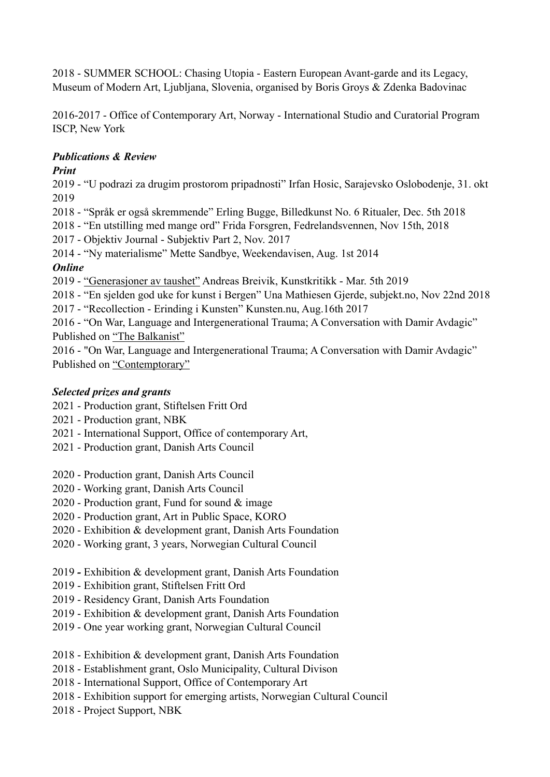2018 - SUMMER SCHOOL: Chasing Utopia - Eastern European Avant-garde and its Legacy, Museum of Modern Art, Ljubljana, Slovenia, organised by Boris Groys & Zdenka Badovinac

2016-2017 - Office of Contemporary Art, Norway - International Studio and Curatorial Program ISCP, New York

# *Publications & Review*

## *Print*

2019 - "U podrazi za drugim prostorom pripadnosti" Irfan Hosic, Sarajevsko Oslobodenje, 31. okt 2019

2018 - "Språk er også skremmende" Erling Bugge, Billedkunst No. 6 Ritualer, Dec. 5th 2018

2018 - "En utstilling med mange ord" Frida Forsgren, Fedrelandsvennen, Nov 15th, 2018

2017 - Objektiv Journal - Subjektiv Part 2, Nov. 2017

2014 - "Ny materialisme" Mette Sandbye, Weekendavisen, Aug. 1st 2014

# *Online*

2019 - ["Generasjoner av taushet"](https://kunstkritikk.no/generasjoner-av-taushet/) Andreas Breivik, Kunstkritikk - Mar. 5th 2019

2018 - "En sjelden god uke for kunst i Bergen" Una Mathiesen Gjerde, subjekt.no, Nov 22nd 2018

2017 - "Recollection - Erinding i Kunsten" Kunsten.nu, Aug.16th 2017

2016 - "On War, Language and Intergenerational Trauma; A Conversation with Damir Avdagic" Published on ["The Balkanist"](http://balkanist.net/on-war-language-and-intergenerational-trauma-a-conversation-with-damir-avdagic/)

2016 - "On War, Language and Intergenerational Trauma; A Conversation with Damir Avdagic" Published on ["Contemptorary"](http://contemptorary.org/on-war-language-and-intergenerational-trauma-a-conversation-with-damir-avdagic/)

# *Selected prizes and grants*

- 2021 Production grant, Stiftelsen Fritt Ord
- 2021 Production grant, NBK
- 2021 International Support, Office of contemporary Art,
- 2021 Production grant, Danish Arts Council
- 2020 Production grant, Danish Arts Council
- 2020 Working grant, Danish Arts Council
- 2020 Production grant, Fund for sound & image
- 2020 Production grant, Art in Public Space, KORO
- 2020 Exhibition & development grant, Danish Arts Foundation
- 2020 Working grant, 3 years, Norwegian Cultural Council
- 2019Exhibition & development grant, Danish Arts Foundation
- 2019 Exhibition grant, Stiftelsen Fritt Ord
- 2019 Residency Grant, Danish Arts Foundation
- 2019 Exhibition & development grant, Danish Arts Foundation
- 2019 One year working grant, Norwegian Cultural Council
- 2018 Exhibition & development grant, Danish Arts Foundation
- 2018 Establishment grant, Oslo Municipality, Cultural Divison
- 2018 International Support, Office of Contemporary Art
- 2018 Exhibition support for emerging artists, Norwegian Cultural Council
- 2018 Project Support, NBK